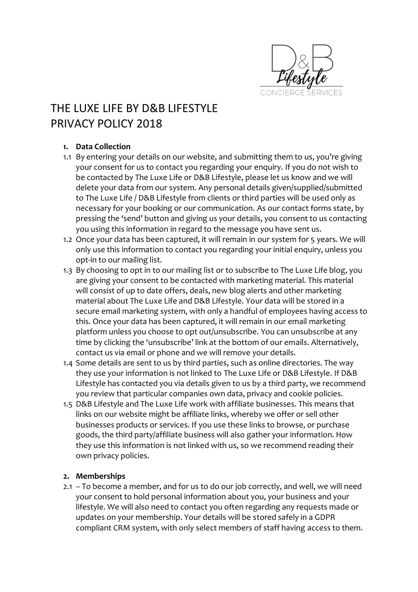

# THE LUXE LIFE BY D&B LIFESTYLE PRIVACY POLICY 2018

## **1. Data Collection**

- 1.1 By entering your details on our website, and submitting them to us, you're giving your consent for us to contact you regarding your enquiry. If you do not wish to be contacted by The Luxe Life or D&B Lifestyle, please let us know and we will delete your data from our system. Any personal details given/supplied/submitted to The Luxe Life / D&B Lifestyle from clients or third parties will be used only as necessary for your booking or our communication. As our contact forms state, by pressing the 'send' button and giving us your details, you consent to us contacting you using this information in regard to the message you have sent us.
- 1.2 Once your data has been captured, it will remain in our system for 5 years. We will only use this information to contact you regarding your initial enquiry, unless you opt-in to our mailing list.
- 1.3 By choosing to opt in to our mailing list or to subscribe to The Luxe Life blog, you are giving your consent to be contacted with marketing material. This material will consist of up to date offers, deals, new blog alerts and other marketing material about The Luxe Life and D&B Lifestyle. Your data will be stored in a secure email marketing system, with only a handful of employees having access to this. Once your data has been captured, it will remain in our email marketing platform unless you choose to opt out/unsubscribe. You can unsubscribe at any time by clicking the 'unsubscribe' link at the bottom of our emails. Alternatively, contact us via email or phone and we will remove your details.
- 1.4 Some details are sent to us by third parties, such as online directories. The way they use your information is not linked to The Luxe Life or D&B Lifestyle. If D&B Lifestyle has contacted you via details given to us by a third party, we recommend you review that particular companies own data, privacy and cookie policies.
- 1.5 D&B Lifestyle and The Luxe Life work with affiliate businesses. This means that links on our website might be affiliate links, whereby we offer or sell other businesses products or services. If you use these links to browse, or purchase goods, the third party/affiliate business will also gather your information. How they use this information is not linked with us, so we recommend reading their own privacy policies.

#### **2. Memberships**

2.1 – To become a member, and for us to do our job correctly, and well, we will need your consent to hold personal information about you, your business and your lifestyle. We will also need to contact you often regarding any requests made or updates on your membership. Your details will be stored safely in a GDPR compliant CRM system, with only select members of staff having access to them.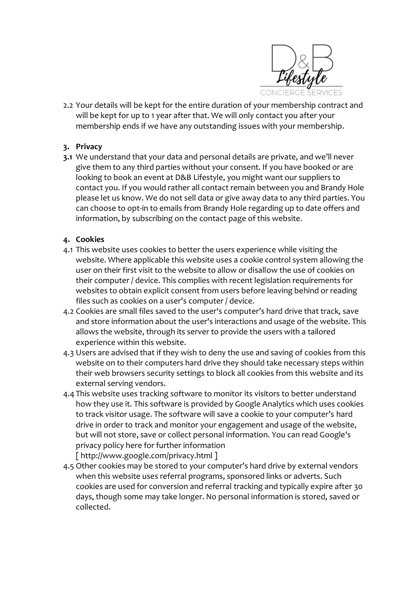

2.2 Your details will be kept for the entire duration of your membership contract and will be kept for up to 1 year after that. We will only contact you after your membership ends if we have any outstanding issues with your membership.

## **3. Privacy**

**3.1** We understand that your data and personal details are private, and we'll never give them to any third parties without your consent. If you have booked or are looking to book an event at D&B Lifestyle, you might want our suppliers to contact you. If you would rather all contact remain between you and Brandy Hole please let us know. We do not sell data or give away data to any third parties. You can choose to opt-in to emails from Brandy Hole regarding up to date offers and information, by subscribing on the contact page of this website.

## **4. Cookies**

- 4.1 This website uses cookies to better the users experience while visiting the website. Where applicable this website uses a cookie control system allowing the user on their first visit to the website to allow or disallow the use of cookies on their computer / device. This complies with recent legislation requirements for websites to obtain explicit consent from users before leaving behind or reading files such as cookies on a user's computer / device.
- 4.2 Cookies are small files saved to the user's computer's hard drive that track, save and store information about the user's interactions and usage of the website. This allows the website, through its server to provide the users with a tailored experience within this website.
- 4.3 Users are advised that if they wish to deny the use and saving of cookies from this website on to their computers hard drive they should take necessary steps within their web browsers security settings to block all cookies from this website and its external serving vendors.
- 4.4 This website uses tracking software to monitor its visitors to better understand how they use it. This software is provided by Google Analytics which uses cookies to track visitor usage. The software will save a cookie to your computer's hard drive in order to track and monitor your engagement and usage of the website, but will not store, save or collect personal information. You can read Google's privacy policy here for further information [ <http://www.google.com/privacy.html> ]
- 4.5 Other cookies may be stored to your computer's hard drive by external vendors when this website uses referral programs, sponsored links or adverts. Such cookies are used for conversion and referral tracking and typically expire after 30 days, though some may take longer. No personal information is stored, saved or collected.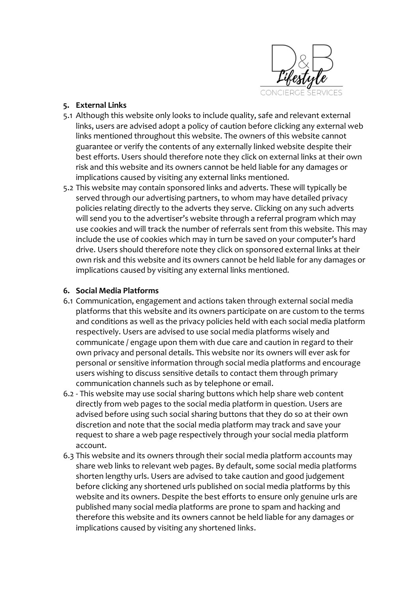

#### **5. External Links**

- 5.1 Although this website only looks to include quality, safe and relevant external links, users are advised adopt a policy of caution before clicking any external web links mentioned throughout this website. The owners of this website cannot guarantee or verify the contents of any externally linked website despite their best efforts. Users should therefore note they click on external links at their own risk and this website and its owners cannot be held liable for any damages or implications caused by visiting any external links mentioned.
- 5.2 This website may contain sponsored links and adverts. These will typically be served through our advertising partners, to whom may have detailed privacy policies relating directly to the adverts they serve. Clicking on any such adverts will send you to the advertiser's website through a referral program which may use cookies and will track the number of referrals sent from this website. This may include the use of cookies which may in turn be saved on your computer's hard drive. Users should therefore note they click on sponsored external links at their own risk and this website and its owners cannot be held liable for any damages or implications caused by visiting any external links mentioned.

## **6. Social Media Platforms**

- 6.1 Communication, engagement and actions taken through external social media platforms that this website and its owners participate on are custom to the terms and conditions as well as the privacy policies held with each social media platform respectively. Users are advised to use social media platforms wisely and communicate / engage upon them with due care and caution in regard to their own privacy and personal details. This website nor its owners will ever ask for personal or sensitive information through social media platforms and encourage users wishing to discuss sensitive details to contact them through primary communication channels such as by telephone or email.
- 6.2 This website may use social sharing buttons which help share web content directly from web pages to the social media platform in question. Users are advised before using such social sharing buttons that they do so at their own discretion and note that the social media platform may track and save your request to share a web page respectively through your social media platform account.
- 6.3 This website and its owners through their social media platform accounts may share web links to relevant web pages. By default, some social media platforms shorten lengthy urls. Users are advised to take caution and good judgement before clicking any shortened urls published on social media platforms by this website and its owners. Despite the best efforts to ensure only genuine urls are published many social media platforms are prone to spam and hacking and therefore this website and its owners cannot be held liable for any damages or implications caused by visiting any shortened links.